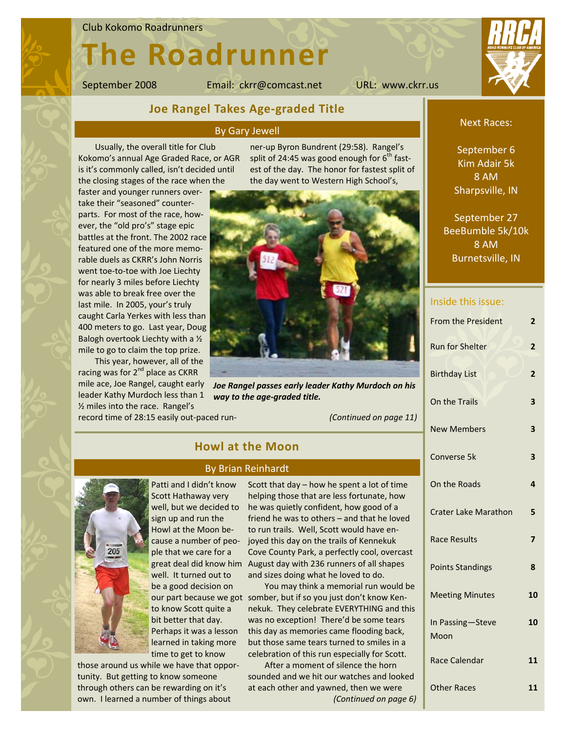#### Club Kokomo Roadrunners

# **The Roadrunner**

September 2008 Email: ckrr@comcast.net URL: www.ckrr.us



## **Joe Rangel Takes Age‐graded Title**

#### By Gary Jewell

**Howl at the Moon**

By Brian Reinhardt

Usually, the overall title for Club Kokomo's annual Age Graded Race, or AGR is it's commonly called, isn't decided until the closing stages of the race when the

faster and younger runners over‐ take their "seasoned" counter‐ parts. For most of the race, how‐ ever, the "old pro's" stage epic battles at the front. The 2002 race featured one of the more memo‐ rable duels as CKRR's John Norris went toe-to-toe with Joe Liechty for nearly 3 miles before Liechty was able to break free over the last mile. In 2005, your's truly caught Carla Yerkes with less than 400 meters to go. Last year, Doug Balogh overtook Liechty with a ½ mile to go to claim the top prize.

This year, however, all of the racing was for 2<sup>nd</sup> place as CKRR leader Kathy Murdoch less than 1 ½ miles into the race. Rangel's

ner‐up Byron Bundrent (29:58). Rangel's split of 24:45 was good enough for  $6<sup>th</sup>$  fastest of the day. The honor for fastest split of the day went to Western High School's,



mile ace, Joe Rangel, caught early *Joe Rangel passes early leader Kathy Murdoch on his way to the age‐graded title.*

record time of 28:15 easily out‐paced run‐

*(Continued on page 11)*

# Patti and I didn't know Scott Hathaway very well, but we decided to

great deal did know him August day with 236 runners of all shapes sign up and run the Howl at the Moon be‐ cause a number of peo‐ ple that we care for a well. It turned out to be a good decision on to know Scott quite a bit better that day. Perhaps it was a lesson learned in taking more time to get to know

those around us while we have that oppor‐ tunity. But getting to know someone through others can be rewarding on it's own. I learned a number of things about

Scott that day – how he spent a lot of time helping those that are less fortunate, how he was quietly confident, how good of a friend he was to others – and that he loved to run trails. Well, Scott would have en‐ joyed this day on the trails of Kennekuk Cove County Park, a perfectly cool, overcast

and sizes doing what he loved to do. You may think a memorial run would be our part because we got somber, but if so you just don't know Kennekuk. They celebrate EVERYTHING and this was no exception! There'd be some tears this day as memories came flooding back, but those same tears turned to smiles in a celebration of this run especially for Scott.

> After a moment of silence the horn sounded and we hit our watches and looked at each other and yawned, then we were *(Continued on page 6)*

#### Next Races:

September 6 Kim Adair 5k 8 AM Sharpsville, IN

September 27 BeeBumble 5k/10k 8 AM Burnetsville, IN

### Inside this issue:

| <b>From the President</b>   | 2              |
|-----------------------------|----------------|
| <b>Run for Shelter</b>      | 2              |
| <b>Birthday List</b>        | $\overline{2}$ |
| On the Trails               | 3              |
| <b>New Members</b>          | 3              |
| Converse 5k                 | 3              |
| On the Roads                | 4              |
| <b>Crater Lake Marathon</b> | 5              |
| <b>Race Results</b>         | $\overline{7}$ |
| <b>Points Standings</b>     | 8              |
| <b>Meeting Minutes</b>      | 10             |
| In Passing-Steve<br>Moon    | 10             |
| <b>Race Calendar</b>        | 11             |
| <b>Other Races</b>          | 11             |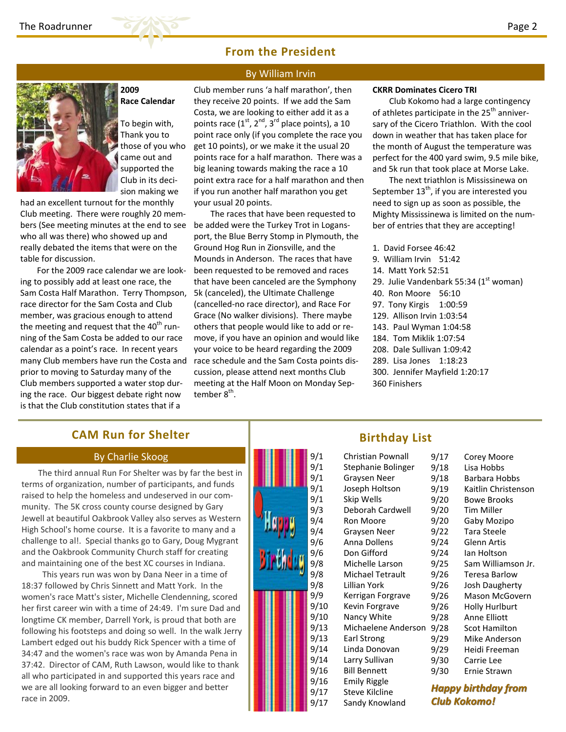

## **From the President**

By William Irvin



**2009 Race Calendar**

To begin with, Thank you to those of you who came out and supported the Club in its deci‐ sion making we

had an excellent turnout for the monthly Club meeting. There were roughly 20 mem‐ bers (See meeting minutes at the end to see who all was there) who showed up and really debated the items that were on the table for discussion.

For the 2009 race calendar we are look‐ ing to possibly add at least one race, the Sam Costa Half Marathon. Terry Thompson, race director for the Sam Costa and Club member, was gracious enough to attend the meeting and request that the  $40<sup>th</sup>$  running of the Sam Costa be added to our race calendar as a point's race. In recent years many Club members have run the Costa and prior to moving to Saturday many of the Club members supported a water stop dur‐ ing the race. Our biggest debate right now is that the Club constitution states that if a

Club member runs 'a half marathon', then they receive 20 points. If we add the Sam Costa, we are looking to either add it as a points race (1<sup>st</sup>, 2<sup>nd</sup>, 3<sup>rd</sup> place points), a 10 point race only (if you complete the race you get 10 points), or we make it the usual 20 points race for a half marathon. There was a big leaning towards making the race a 10 point extra race for a half marathon and then

if you run another half marathon you get

your usual 20 points. The races that have been requested to be added were the Turkey Trot in Logans‐ port, the Blue Berry Stomp in Plymouth, the Ground Hog Run in Zionsville, and the Mounds in Anderson. The races that have been requested to be removed and races that have been canceled are the Symphony 5k (canceled), the Ultimate Challenge (cancelled‐no race director), and Race For Grace (No walker divisions). There maybe others that people would like to add or re‐ move, if you have an opinion and would like your voice to be heard regarding the 2009 race schedule and the Sam Costa points dis‐ cussion, please attend next months Club meeting at the Half Moon on Monday Sep‐ tember 8<sup>th</sup>.

#### **CKRR Dominates Cicero TRI**

Club Kokomo had a large contingency of athletes participate in the  $25<sup>th</sup>$  anniversary of the Cicero Triathlon. With the cool down in weather that has taken place for the month of August the temperature was perfect for the 400 yard swim, 9.5 mile bike, and 5k run that took place at Morse Lake.

The next triathlon is Mississinewa on September  $13<sup>th</sup>$ , if you are interested you need to sign up as soon as possible, the Mighty Mississinewa is limited on the num‐ ber of entries that they are accepting!

- 1. David Forsee 46:42
- 9. William Irvin 51:42
- 14. Matt York 52:51
- 29. Julie Vandenbark 55:34  $(1<sup>st</sup>$  woman)
- 40. Ron Moore 56:10
- 97. Tony Kirgis 1:00:59
- 129. Allison Irvin 1:03:54
- 143. Paul Wyman 1:04:58
- 184. Tom Miklik 1:07:54
- 208. Dale Sullivan 1:09:42
- 289. Lisa Jones 1:18:23
- 300. Jennifer Mayfield 1:20:17
- 360 Finishers

## **CAM Run for Shelter**

### By Charlie Skoog

The third annual Run For Shelter was by far the best in terms of organization, number of participants, and funds raised to help the homeless and undeserved in our com‐ munity. The 5K cross county course designed by Gary Jewell at beautiful Oakbrook Valley also serves as Western High School's home course. It is a favorite to many and a challenge to al!. Special thanks go to Gary, Doug Mygrant and the Oakbrook Community Church staff for creating and maintaining one of the best XC courses in Indiana.

 This years run was won by Dana Neer in a time of 18:37 followed by Chris Sinnett and Matt York. In the women's race Matt's sister, Michelle Clendenning, scored her first career win with a time of 24:49. I'm sure Dad and longtime CK member, Darrell York, is proud that both are following his footsteps and doing so well. In the walk Jerry Lambert edged out his buddy Rick Spencer with a time of 34:47 and the women's race was won by Amanda Pena in 37:42. Director of CAM, Ruth Lawson, would like to thank all who participated in and supported this years race and we are all looking forward to an even bigger and better race in 2009.



## **Birthday List**

| Christian Pownall   | 9/17        |
|---------------------|-------------|
| Stephanie Bolinger  | 9/18        |
| Graysen Neer        | 9/18        |
| Joseph Holtson      | 9/19        |
| Skip Wells          | 9/20        |
| Deborah Cardwell    | 9/20        |
| Ron Moore           | 9/20        |
| Graysen Neer        | 9/22        |
| Anna Dollens        | 9/24        |
| Don Gifford         | 9/24        |
| Michelle Larson     | 9/25        |
| Michael Tetrault    | 9/26        |
| Lillian York        | 9/26        |
| Kerrigan Forgrave   | 9/26        |
| Kevin Forgrave      | 9/26        |
| Nancy White         | 9/28        |
| Michaelene Anderson | 9/28        |
| Earl Strong         | 9/29        |
| Linda Donovan       | 9/29        |
| Larry Sullivan      | 9/30        |
| <b>Bill Bennett</b> | 9/30        |
| Emily Riggle        |             |
| Steve Kilcline      | <b>Happ</b> |
| Sandy Knowland      | Club        |

| 9/17 | Corey Moore           |
|------|-----------------------|
| 9/18 | Lisa Hobbs            |
| 9/18 | Barbara Hobbs         |
| 9/19 | Kaitlin Christenson   |
| 9/20 | <b>Bowe Brooks</b>    |
| 9/20 | <b>Tim Miller</b>     |
| 9/20 | Gaby Mozipo           |
| 9/22 | <b>Tara Steele</b>    |
| 9/24 | <b>Glenn Artis</b>    |
| 9/24 | Ian Holtson           |
| 9/25 | Sam Williamson Jr.    |
| 9/26 | Teresa Barlow         |
| 9/26 | Josh Daugherty        |
| 9/26 | Mason McGovern        |
| 9/26 | <b>Holly Hurlburt</b> |
| 9/28 | Anne Elliott          |
| 9/28 | <b>Scot Hamilton</b>  |
| 9/29 | Mike Anderson         |
| 9/29 | Heidi Freeman         |
| 9/30 | Carrie Lee            |
| 9/30 | Ernie Strawn          |
|      |                       |

*Happy birthday birthdayfrom Club Kokomo! Kokomo!*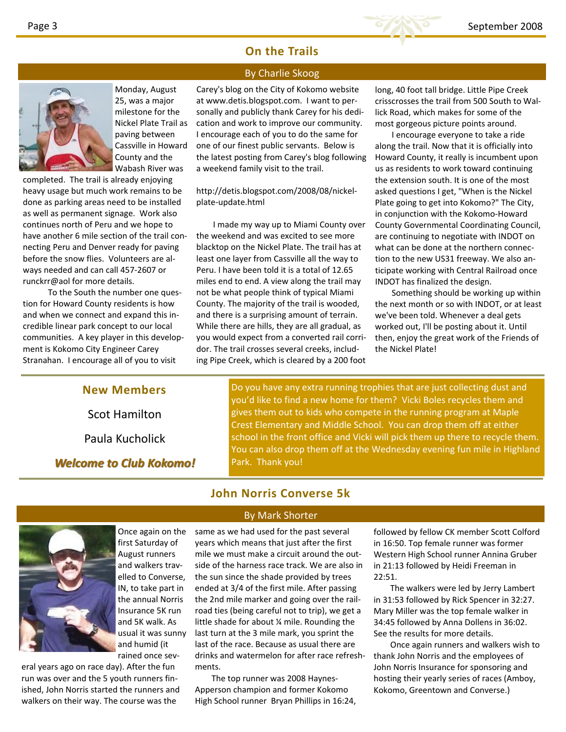## **On the Trails**

## By Charlie Skoog



Monday, August 25, was a major milestone for the Nickel Plate Trail as paving between Cassville in Howard County and the Wabash River was

completed. The trail is already enjoying heavy usage but much work remains to be done as parking areas need to be installed as well as permanent signage. Work also continues north of Peru and we hope to have another 6 mile section of the trail con‐ necting Peru and Denver ready for paving before the snow flies. Volunteers are al‐ ways needed and can call 457‐2607 or runckrr@aol for more details.

 To the South the number one ques‐ tion for Howard County residents is how and when we connect and expand this in‐ credible linear park concept to our local communities. A key player in this develop‐ ment is Kokomo City Engineer Carey Stranahan. I encourage all of you to visit

Carey's blog on the City of Kokomo website at www.detis.blogspot.com. I want to per‐ sonally and publicly thank Carey for his dedi‐ cation and work to improve our community. I encourage each of you to do the same for one of our finest public servants. Below is the latest posting from Carey's blog following a weekend family visit to the trail.

http://detis.blogspot.com/2008/08/nickel‐ plate‐update.html

I made my way up to Miami County over the weekend and was excited to see more blacktop on the Nickel Plate. The trail has at least one layer from Cassville all the way to Peru. I have been told it is a total of 12.65 miles end to end. A view along the trail may not be what people think of typical Miami County. The majority of the trail is wooded, and there is a surprising amount of terrain. While there are hills, they are all gradual, as you would expect from a converted rail corri‐ dor. The trail crosses several creeks, includ‐ ing Pipe Creek, which is cleared by a 200 foot

long, 40 foot tall bridge. Little Pipe Creek crisscrosses the trail from 500 South to Wal‐ lick Road, which makes for some of the most gorgeous picture points around.

I encourage everyone to take a ride along the trail. Now that it is officially into Howard County, it really is incumbent upon us as residents to work toward continuing the extension south. It is one of the most asked questions I get, "When is the Nickel Plate going to get into Kokomo?" The City, in conjunction with the Kokomo‐Howard County Governmental Coordinating Council, are continuing to negotiate with INDOT on what can be done at the northern connec‐ tion to the new US31 freeway. We also an‐ ticipate working with Central Railroad once INDOT has finalized the design.

Something should be working up within the next month or so with INDOT, or at least we've been told. Whenever a deal gets worked out, I'll be posting about it. Until then, enjoy the great work of the Friends of the Nickel Plate!

**New Members**

Scot Hamilton

Paula Kucholick

*Welcome Welcome to Club Kokomo! Kokomo!*

Do you have any extra running trophies that are just collecting dust and you'd like to find a new home for them? Vicki Boles recycles them and gives them out to kids who compete in the running program at Maple Crest Elementary and Middle School. You can drop them off at either school in the front office and Vicki will pick them up there to recycle them. You can also drop them off at the Wednesday evening fun mile in Highland Park. Thank you!

## **John Norris Converse 5k**

By Mark Shorter



Once again on the first Saturday of August runners and walkers trav‐ elled to Converse, IN, to take part in the annual Norris Insurance 5K run and 5K walk. As usual it was sunny and humid (it rained once sev‐

eral years ago on race day). After the fun run was over and the 5 youth runners fin‐ ished, John Norris started the runners and walkers on their way. The course was the

same as we had used for the past several years which means that just after the first mile we must make a circuit around the out‐ side of the harness race track. We are also in the sun since the shade provided by trees ended at 3/4 of the first mile. After passing the 2nd mile marker and going over the rail‐ road ties (being careful not to trip), we get a little shade for about ¼ mile. Rounding the last turn at the 3 mile mark, you sprint the last of the race. Because as usual there are drinks and watermelon for after race refresh‐ ments.

The top runner was 2008 Haynes‐ Apperson champion and former Kokomo High School runner Bryan Phillips in 16:24, followed by fellow CK member Scott Colford in 16:50. Top female runner was former Western High School runner Annina Gruber in 21:13 followed by Heidi Freeman in 22:51.

The walkers were led by Jerry Lambert in 31:53 followed by Rick Spencer in 32:27. Mary Miller was the top female walker in 34:45 followed by Anna Dollens in 36:02. See the results for more details.

Once again runners and walkers wish to thank John Norris and the employees of John Norris Insurance for sponsoring and hosting their yearly series of races (Amboy, Kokomo, Greentown and Converse.)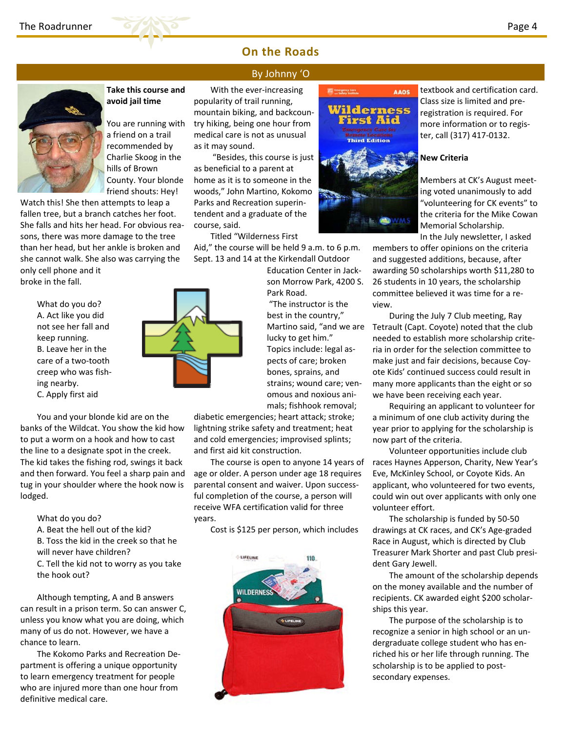

# **On the Roads**

## By Johnny 'O



**Take this course and avoid jail time**

You are running with a friend on a trail recommended by Charlie Skoog in the hills of Brown County. Your blonde friend shouts: Hey!

Watch this! She then attempts to leap a fallen tree, but a branch catches her foot. She falls and hits her head. For obvious rea‐ sons, there was more damage to the tree than her head, but her ankle is broken and she cannot walk. She also was carrying the only cell phone and it

broke in the fall.

What do you do? A. Act like you did not see her fall and keep running. B. Leave her in the care of a two‐tooth creep who was fish‐ ing nearby. C. Apply first aid

You and your blonde kid are on the banks of the Wildcat. You show the kid how to put a worm on a hook and how to cast the line to a designate spot in the creek. The kid takes the fishing rod, swings it back and then forward. You feel a sharp pain and tug in your shoulder where the hook now is lodged.

What do you do? A. Beat the hell out of the kid? B. Toss the kid in the creek so that he will never have children? C. Tell the kid not to worry as you take the hook out?

Although tempting, A and B answers can result in a prison term. So can answer C, unless you know what you are doing, which many of us do not. However, we have a chance to learn.

The Kokomo Parks and Recreation De‐ partment is offering a unique opportunity to learn emergency treatment for people who are injured more than one hour from definitive medical care.

With the ever‐increasing popularity of trail running, mountain biking, and backcoun‐ try hiking, being one hour from medical care is not as unusual as it may sound.

"Besides, this course is just as beneficial to a parent at home as it is to someone in the woods," John Martino, Kokomo Parks and Recreation superin‐ tendent and a graduate of the course, said.

Titled "Wilderness First

Aid," the course will be held 9 a.m. to 6 p.m. Sept. 13 and 14 at the Kirkendall Outdoor

> Education Center in Jack‐ son Morrow Park, 4200 S. Park Road. "The instructor is the best in the country," lucky to get him." Topics include: legal as‐ pects of care; broken bones, sprains, and strains; wound care; ven‐ omous and noxious ani‐ mals; fishhook removal;

diabetic emergencies; heart attack; stroke; lightning strike safety and treatment; heat and cold emergencies; improvised splints; and first aid kit construction.

The course is open to anyone 14 years of age or older. A person under age 18 requires parental consent and waiver. Upon success‐ ful completion of the course, a person will receive WFA certification valid for three years.

Cost is \$125 per person, which includes





textbook and certification card. Class size is limited and pre‐ registration is required. For more information or to regis‐ ter, call (317) 417‐0132.

#### **New Criteria**

Members at CK's August meet‐ ing voted unanimously to add "volunteering for CK events" to the criteria for the Mike Cowan Memorial Scholarship.

In the July newsletter, I asked members to offer opinions on the criteria and suggested additions, because, after awarding 50 scholarships worth \$11,280 to 26 students in 10 years, the scholarship committee believed it was time for a re‐ view.

Martino said, "and we are Tetrault (Capt. Coyote) noted that the club During the July 7 Club meeting, Ray needed to establish more scholarship crite‐ ria in order for the selection committee to make just and fair decisions, because Coy‐ ote Kids' continued success could result in many more applicants than the eight or so we have been receiving each year.

> Requiring an applicant to volunteer for a minimum of one club activity during the year prior to applying for the scholarship is now part of the criteria.

Volunteer opportunities include club races Haynes Apperson, Charity, New Year's Eve, McKinley School, or Coyote Kids. An applicant, who volunteered for two events, could win out over applicants with only one volunteer effort.

The scholarship is funded by 50‐50 drawings at CK races, and CK's Age‐graded Race in August, which is directed by Club Treasurer Mark Shorter and past Club presi‐ dent Gary Jewell.

The amount of the scholarship depends on the money available and the number of recipients. CK awarded eight \$200 scholar‐ ships this year.

The purpose of the scholarship is to recognize a senior in high school or an un‐ dergraduate college student who has en‐ riched his or her life through running. The scholarship is to be applied to post‐ secondary expenses.

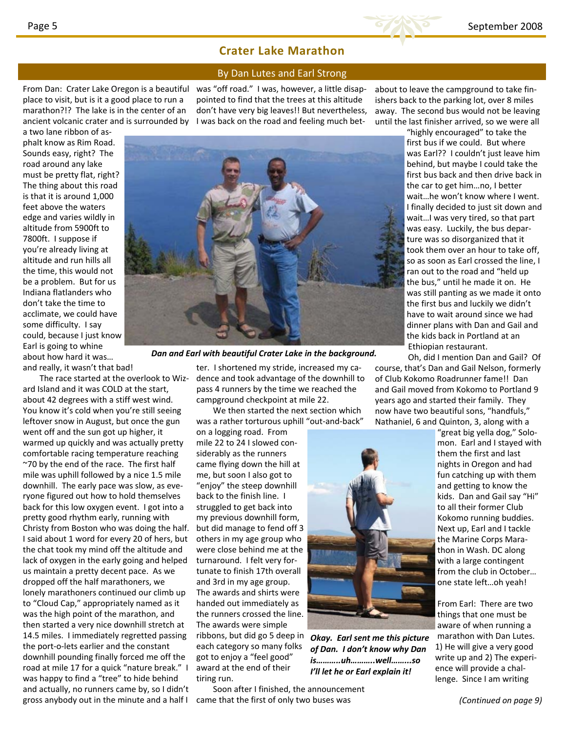## **Crater Lake Marathon**

#### By Dan Lutes and Earl Strong

ancient volcanic crater and is surrounded by  $\Box$  I was back on the road and feeling much betplace to visit, but is it a good place to run a marathon?!? The lake is in the center of an

From Dan: Crater Lake Oregon is a beautiful was "off road." I was, however, a little disappointed to find that the trees at this altitude don't have very big leaves!! But nevertheless,

a two lane ribbon of as‐ phalt know as Rim Road. Sounds easy, right? The road around any lake must be pretty flat, right? The thing about this road is that it is around 1,000 feet above the waters edge and varies wildly in altitude from 5900ft to 7800ft. I suppose if you're already living at altitude and run hills all the time, this would not be a problem. But for us Indiana flatlanders who don't take the time to acclimate, we could have some difficulty. I say could, because I just know Earl is going to whine about how hard it was… and really, it wasn't that bad!

The race started at the overlook to Wiz‐ ard Island and it was COLD at the start, about 42 degrees with a stiff west wind. You know it's cold when you're still seeing leftover snow in August, but once the gun went off and the sun got up higher, it warmed up quickly and was actually pretty comfortable racing temperature reaching ~70 by the end of the race. The first half mile was uphill followed by a nice 1.5 mile downhill. The early pace was slow, as eve‐ ryone figured out how to hold themselves back for this low oxygen event. I got into a pretty good rhythm early, running with Christy from Boston who was doing the half. I said about 1 word for every 20 of hers, but the chat took my mind off the altitude and lack of oxygen in the early going and helped us maintain a pretty decent pace. As we dropped off the half marathoners, we lonely marathoners continued our climb up to "Cloud Cap," appropriately named as it was the high point of the marathon, and then started a very nice downhill stretch at 14.5 miles. I immediately regretted passing the port‐o‐lets earlier and the constant downhill pounding finally forced me off the road at mile 17 for a quick "nature break." I was happy to find a "tree" to hide behind and actually, no runners came by, so I didn't gross anybody out in the minute and a half I

ter. I shortened my stride, increased my ca‐ dence and took advantage of the downhill to pass 4 runners by the time we reached the campground checkpoint at mile 22.

*Dan and Earl with beautiful Crater Lake in the background.*

We then started the next section which was a rather torturous uphill "out-and-back"

on a logging road. From mile 22 to 24 I slowed considerably as the runners came flying down the hill at me, but soon I also got to "enjoy" the steep downhill back to the finish line. I struggled to get back into my previous downhill form, but did manage to fend off 3 others in my age group who were close behind me at the turnaround. I felt very for‐ tunate to finish 17th overall and 3rd in my age group. The awards and shirts were handed out immediately as the runners crossed the line. The awards were simple ribbons, but did go 5 deep in each category so many folks got to enjoy a "feel good" award at the end of their tiring run.

Soon after I finished, the announcement came that the first of only two buses was

about to leave the campground to take fin‐ ishers back to the parking lot, over 8 miles away. The second bus would not be leaving until the last finisher arrived, so we were all

"highly encouraged" to take the first bus if we could. But where was Earl?? I couldn't just leave him behind, but maybe I could take the first bus back and then drive back in the car to get him…no, I better wait…he won't know where I went. I finally decided to just sit down and wait…I was very tired, so that part was easy. Luckily, the bus depar‐ ture was so disorganized that it took them over an hour to take off, so as soon as Earl crossed the line, I ran out to the road and "held up the bus," until he made it on. He was still panting as we made it onto the first bus and luckily we didn't have to wait around since we had dinner plans with Dan and Gail and the kids back in Portland at an Ethiopian restaurant.

Oh, did I mention Dan and Gail? Of course, that's Dan and Gail Nelson, formerly of Club Kokomo Roadrunner fame!! Dan and Gail moved from Kokomo to Portland 9 years ago and started their family. They now have two beautiful sons, "handfuls," Nathaniel, 6 and Quinton, 3, along with a

> "great big yella dog," Solo‐ mon. Earl and I stayed with them the first and last nights in Oregon and had fun catching up with them and getting to know the kids. Dan and Gail say "Hi" to all their former Club Kokomo running buddies. Next up, Earl and I tackle the Marine Corps Mara‐ thon in Wash. DC along with a large contingent from the club in October… one state left…oh yeah!

From Earl: There are two things that one must be aware of when running a marathon with Dan Lutes. 1) He will give a very good write up and 2) The experi‐ ence will provide a chal‐ lenge. Since I am writing



*Okay. Earl sent me this picture of Dan. I don't know why Dan is………..uh………..well……...so I'll let he or Earl explain it!*

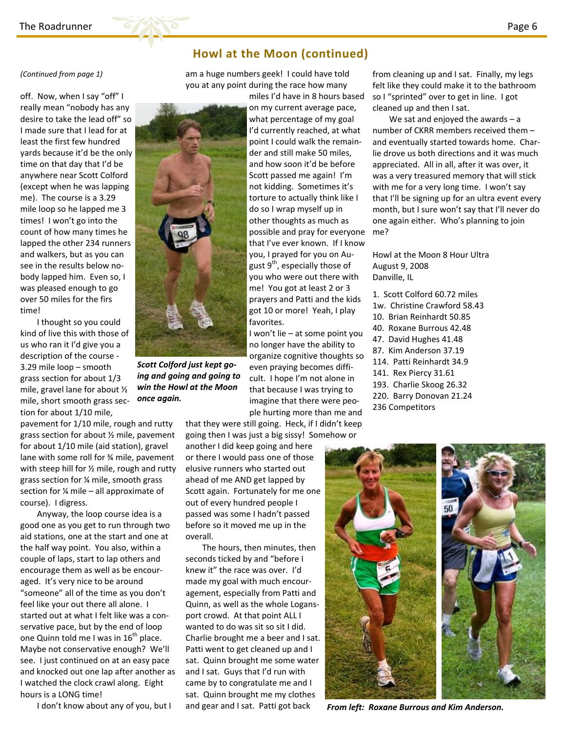

## **Howl at the Moon (continued)**

(Continued from page 1) **http://williphand.** That bases are a huge numbers geek! I could have told from cleaning up and I sat. Finally, my legs you at any point during the race how many

off. Now, when I say "off" I really mean "nobody has any desire to take the lead off" so I made sure that I lead for at least the first few hundred yards because it'd be the only time on that day that I'd be anywhere near Scott Colford (except when he was lapping me). The course is a 3.29 mile loop so he lapped me 3 times! I won't go into the count of how many times he lapped the other 234 runners and walkers, but as you can see in the results below no‐ body lapped him. Even so, I was pleased enough to go over 50 miles for the firs time!

I thought so you could kind of live this with those of us who ran it I'd give you a description of the course ‐ 3.29 mile loop – smooth grass section for about 1/3 mile, gravel lane for about ½ mile, short smooth grass sec‐ tion for about 1/10 mile,

pavement for 1/10 mile, rough and rutty grass section for about ½ mile, pavement for about 1/10 mile (aid station), gravel lane with some roll for ¾ mile, pavement with steep hill for  $\frac{1}{2}$  mile, rough and rutty grass section for ¼ mile, smooth grass section for ¼ mile – all approximate of course). I digress.

Anyway, the loop course idea is a good one as you get to run through two aid stations, one at the start and one at the half way point. You also, within a couple of laps, start to lap others and encourage them as well as be encour‐ aged. It's very nice to be around "someone" all of the time as you don't feel like your out there all alone. I started out at what I felt like was a con‐ servative pace, but by the end of loop one Quinn told me I was in  $16<sup>th</sup>$  place. Maybe not conservative enough? We'll see. I just continued on at an easy pace and knocked out one lap after another as I watched the clock crawl along. Eight hours is a LONG time!

I don't know about any of you, but I

miles I'd have in 8 hours based on my current average pace, what percentage of my goal I'd currently reached, at what point I could walk the remain‐ der and still make 50 miles, and how soon it'd be before Scott passed me again! I'm not kidding. Sometimes it's torture to actually think like I do so I wrap myself up in other thoughts as much as possible and pray for everyone that I've ever known. If I know you, I prayed for you on Au‐ gust  $9<sup>th</sup>$ , especially those of you who were out there with me! You got at least 2 or 3 prayers and Patti and the kids got 10 or more! Yeah, I play favorites.

I won't lie – at some point you no longer have the ability to organize cognitive thoughts so even praying becomes diffi‐ cult. I hope I'm not alone in that because I was trying to imagine that there were peo‐ ple hurting more than me and

that they were still going. Heck, if I didn't keep going then I was just a big sissy! Somehow or

another I did keep going and here or there I would pass one of those elusive runners who started out ahead of me AND get lapped by Scott again. Fortunately for me one out of every hundred people I passed was some I hadn't passed before so it moved me up in the overall.

The hours, then minutes, then seconds ticked by and "before I knew it" the race was over. I'd made my goal with much encour‐ agement, especially from Patti and Quinn, as well as the whole Logans‐ port crowd. At that point ALL I wanted to do was sit so sit I did. Charlie brought me a beer and I sat. Patti went to get cleaned up and I sat. Quinn brought me some water and I sat. Guys that I'd run with came by to congratulate me and I sat. Quinn brought me my clothes and gear and I sat. Patti got back

felt like they could make it to the bathroom so I "sprinted" over to get in line. I got cleaned up and then I sat.

We sat and enjoyed the awards  $-$  a number of CKRR members received them – and eventually started towards home. Char‐ lie drove us both directions and it was much appreciated. All in all, after it was over, it was a very treasured memory that will stick with me for a very long time. I won't say that I'll be signing up for an ultra event every month, but I sure won't say that I'll never do one again either. Who's planning to join me?

Howl at the Moon 8 Hour Ultra August 9, 2008 Danville, IL

- 1. Scott Colford 60.72 miles
- 1w. Christine Crawford 58.43
- 10. Brian Reinhardt 50.85
- 40. Roxane Burrous 42.48
- 47. David Hughes 41.48
- 87. Kim Anderson 37.19
- 114. Patti Reinhardt 34.9
- 141. Rex Piercy 31.61
- 193. Charlie Skoog 26.32
- 220. Barry Donovan 21.24
- 236 Competitors



*From left: Roxane Burrous and Kim Anderson.*



*Scott Colford just kept go‐ ing and going and going to win the Howl at the Moon once again.*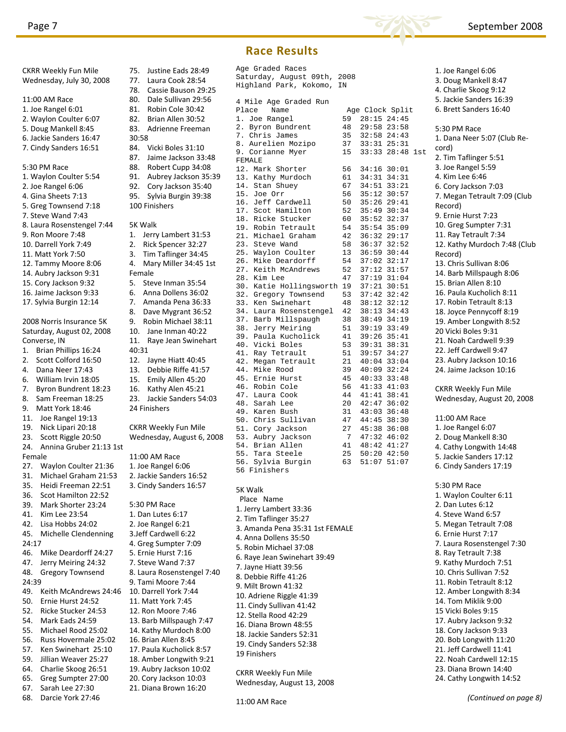CKRR Weekly Fun Mile



### 75. Justine Eads 28:49 77. Laura Cook 28:54 78. Cassie Bauson 29:25 80. Dale Sullivan 29:56 81. Robin Cole 30:42 82. Brian Allen 30:52 83. Adrienne Freeman 84. Vicki Boles 31:10 87. Jaime Jackson 33:48 88. Robert Cupp 34:08<br>91 Aubrey Jackson 35: Aubrey Jackson 35:39 92. Cory Jackson 35:40 95. Sylvia Burgin 39:38 100 Finishers 1. Jerry Lambert 31:53 2. Rick Spencer 32:27 3. Tim Taflinger 34:45 4. Mary Miller 34:45 1st 5. Steve Inman 35:54 6. Anna Dollens 36:02 7. Amanda Pena 36:33 8. Dave Mygrant 36:52 9. Robin Michael 38:11 10. Jane Inman 40:22 11. Raye Jean Swinehart 12. Jayne Hiatt 40:45 13. Debbie Riffe 41:57 15. Emily Allen 45:20 16. Kathy Alen 45:21 23. Jackie Sanders 54:03 24 Finishers CKRR Weekly Fun Mile Wednesday, August 6, 2008 11:00 AM Race 1. Joe Rangel 6:06 2. Jackie Sanders 16:52 3. Cindy Sanders 16:57 5:30 PM Race 1. Dan Lutes 6:17 2. Joe Rangel 6:21 3.Jeff Cardwell 6:22 4. Greg Sumpter 7:09 5. Ernie Hurst 7:16 7. Steve Wand 7:37 8. Laura Rosenstengel 7:40 9. Tami Moore 7:44 10. Darrell York 7:44 11. Matt York 7:45 12. Ron Moore 7:46 13. Barb Millspaugh 7:47 14. Kathy Murdoch 8:00 16. Brian Allen 8:45 17. Paula Kucholick 8:57 18. Amber Longwith 9:21 19. Aubry Jackson 10:02

| Age Graded Races                    |                 |                                |                 |  |
|-------------------------------------|-----------------|--------------------------------|-----------------|--|
| Saturday, August 09th, 2008         |                 |                                |                 |  |
| Highland Park, Kokomo,              | ΙN              |                                |                 |  |
|                                     |                 |                                |                 |  |
| 4 Mile Age Graded Run               |                 |                                |                 |  |
| Place<br>Name<br>1. Joe Rangel      | 59              | Age Clock Split<br>28:15 24:45 |                 |  |
|                                     | 48              |                                | 29:58 23:58     |  |
| 2. Byron Bundrent<br>7. Chris James | 35              | $32:58$ $24:43$                |                 |  |
| 8. Aurelien Mozipo                  | 37              |                                | $33:31$ $25:31$ |  |
| 9. Corianne Myer                    | 15              |                                | 33:33 28:48 1st |  |
| FEMALE                              |                 |                                |                 |  |
| 12. Mark Shorter                    |                 | 56 34:16 30:01                 |                 |  |
| 13. Kathy Murdoch                   | 61              |                                | 34:31 34:31     |  |
| 14. Stan Shuey                      | 67              | $34:51$ $33:21$                |                 |  |
| 15. Joe Orr                         | 56              | 35:12 30:57                    |                 |  |
| 16. Jeff Cardwell                   | 50              | $35:26$ $29:41$                |                 |  |
| 17. Scot Hamilton                   | 52              | 35:49 30:34                    |                 |  |
| 18. Ricke Stucker                   | 60              | 35:52 32:37                    |                 |  |
| 19. Robin Tetrault                  | 54              | $35:54$ 35:09                  |                 |  |
| 21. Michael Graham                  | 42              | 36:32 29:17                    |                 |  |
| 23. Steve Wand                      | 58              | 36:37 32:52                    |                 |  |
| 25. Waylon Coulter                  | 13              | $36:59$ $30:44$                |                 |  |
| 26. Mike Deardorff                  | 54              | 37:02 32:17                    |                 |  |
| 27. Keith McAndrews                 | 52              | 37:12 31:57                    |                 |  |
| 28. Kim Lee                         | 47              | 37:19 31:04                    |                 |  |
| 30. Katie Hollingsworth 19          |                 | 37:21                          | 30:51           |  |
| 32. Gregory Townsend                | 53              | $37:42$ $32:42$                |                 |  |
| 33. Ken Swinehart                   | 48              | 38:12 32:12                    |                 |  |
| 34. Laura Rosenstengel              | 42              | 38:13                          | 34:43           |  |
| 37. Barb Millspaugh                 | 38              | 38:49 34:19                    |                 |  |
| 38. Jerry Meiring                   | 51              | 39:19 33:49                    |                 |  |
| 39. Paula Kucholick                 | 41              | 39:26                          | 35:41           |  |
| 40. Vicki Boles                     | 53              | 39:31                          | 38:31           |  |
| 41. Ray Tetrault                    | 51              | 39:57                          | 34:27           |  |
| 42. Megan Tetrault                  | 21              | 40:04                          | 33:04           |  |
| 44. Mike Rood                       | 39              | 40:09                          | 32:24           |  |
| 45. Ernie Hurst                     | 45              | $40:33$ $33:48$                |                 |  |
| 46. Robin Cole                      | 56              | 41:33 41:03                    |                 |  |
| 47. Laura Cook                      | 44              | 41:41                          | 38:41           |  |
| 48. Sarah Lee                       | 20              | 42:47                          | 36:02           |  |
| 49. Karen Bush                      | 31              | 43:03                          | 36:48           |  |
| 50. Chris Sullivan                  | 47              | 44:45 38:30                    |                 |  |
| 51. Cory Jackson                    |                 | 27 45:38 36:08                 |                 |  |
| 53. Aubry Jackson                   | $7\overline{ }$ | $47:32$ $46:02$                |                 |  |
| 54. Brian Allen                     |                 | 41 48:42 41:27                 |                 |  |
| 55. Tara Steele                     | 25              | $50:20$ 42:50                  |                 |  |
| 56.<br>Sylvia Burgin                |                 | 63 51:07 51:07                 |                 |  |
| 56 Finishers                        |                 |                                |                 |  |
|                                     |                 |                                |                 |  |
| 5K Walk                             |                 |                                |                 |  |
| Place Name                          |                 |                                |                 |  |
| 1. Jerry Lambert 33:36              |                 |                                |                 |  |
|                                     |                 |                                |                 |  |
| 2. Tim Taflinger 35:27              |                 |                                |                 |  |
| 3. Amanda Pena 35:31 1st FEMALE     |                 |                                |                 |  |
| 4. Anna Dollens 35:50               |                 |                                |                 |  |
| 5. Robin Michael 37:08              |                 |                                |                 |  |
| 6. Raye Jean Swinehart 39:49        |                 |                                |                 |  |
|                                     |                 |                                |                 |  |
| 7. Jayne Hiatt 39:56                |                 |                                |                 |  |
| 8. Debbie Riffe 41:26               |                 |                                |                 |  |
| 9. Milt Brown 41:32                 |                 |                                |                 |  |
| 10. Adriene Riggle 41:39            |                 |                                |                 |  |
| 11. Cindy Sullivan 41:42            |                 |                                |                 |  |
| 12. Stella Rood 42:29               |                 |                                |                 |  |
| 16. Diana Brown 48:55               |                 |                                |                 |  |
| 18. Jackie Sanders 52:31            |                 |                                |                 |  |
|                                     |                 |                                |                 |  |
| 19. Cindy Sanders 52:38             |                 |                                |                 |  |
| 19 Finishers                        |                 |                                |                 |  |
|                                     |                 |                                |                 |  |
| <b>CKRR Weekly Fun Mile</b>         |                 |                                |                 |  |
| Wednesday, August 13, 2008          |                 |                                |                 |  |
|                                     |                 |                                |                 |  |
|                                     |                 |                                |                 |  |



# **Race Results**

1. Joe Rangel 6:06 3. Doug Mankell 8:47 4. Charlie Skoog 9:12 5. Jackie Sanders 16:39 6. Brett Sanders 16:40 5:30 PM Race 1. Dana Neer 5:07 (Club Re‐ cord) 2. Tim Taflinger 5:51 3. Joe Rangel 5:59 4. Kim Lee 6:46 6. Cory Jackson 7:03 7. Megan Tetrault 7:09 (Club Record) 9. Ernie Hurst 7:23 10. Greg Sumpter 7:31 11. Ray Tetrault 7:34 12. Kathy Murdoch 7:48 (Club Record) 13. Chris Sullivan 8:06 14. Barb Millspaugh 8:06 15. Brian Allen 8:10 16. Paula Kucholich 8:11 17. Robin Tetrault 8:13 18. Joyce Pennycoff 8:19 19. Amber Longwith 8:52 20 Vicki Boles 9:31 21. Noah Cardwell 9:39 22. Jeff Cardwell 9:47 23. Aubry Jackson 10:16 24. Jaime Jackson 10:16 CKRR Weekly Fun Mile Wednesday, August 20, 2008 11:00 AM Race 1. Joe Rangel 6:07 2. Doug Mankell 8:30 4. Cathy Longwith 14:48 5. Jackie Sanders 17:12 6. Cindy Sanders 17:19 5:30 PM Race 1. Waylon Coulter 6:11 2. Dan Lutes 6:12 4. Steve Wand 6:57 5. Megan Tetrault 7:08 6. Ernie Hurst 7:17 7. Laura Rosenstengel 7:30 8. Ray Tetrault 7:38 9. Kathy Murdoch 7:51 10. Chris Sullivan 7:52 11. Robin Tetrault 8:12 12. Amber Longwith 8:34 14. Tom Miklik 9:00 15 Vicki Boles 9:15 17. Aubry Jackson 9:32 18. Cory Jackson 9:33 20. Bob Longwith 11:20 21. Jeff Cardwell 11:41 22. Noah Cardwell 12:15 23. Diana Brown 14:40 24. Cathy Longwith 14:52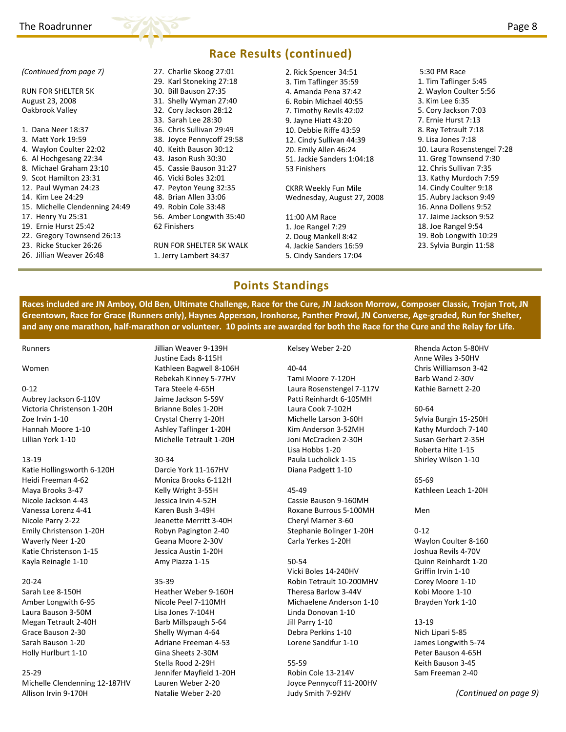RUN FOR SHELTER 5K August 23, 2008 Oakbrook Valley

*(Continued from page 7)*

1. Dana Neer 18:37 3. Matt York 19:59 4. Waylon Coulter 22:02 6. Al Hochgesang 22:34 8. Michael Graham 23:10 9. Scot Hamilton 23:31 12. Paul Wyman 24:23 14. Kim Lee 24:29

17. Henry Yu 25:31 19. Ernie Hurst 25:42 22. Gregory Townsend 26:13 23. Ricke Stucker 26:26 26. Jillian Weaver 26:48

15. Michelle Clendenning 24:49



**Race Results (continued)** 27. Charlie Skoog 27:01 29. Karl Stoneking 27:18 30. Bill Bauson 27:35 31. Shelly Wyman 27:40 32. Cory Jackson 28:12 33. Sarah Lee 28:30 36. Chris Sullivan 29:49 38. Joyce Pennycoff 29:58 40. Keith Bauson 30:12 43. Jason Rush 30:30 45. Cassie Bauson 31:27 46. Vicki Boles 32:01 47. Peyton Yeung 32:35 48. Brian Allen 33:06 49. Robin Cole 33:48 56. Amber Longwith 35:40 62 Finishers RUN FOR SHELTER 5K WALK 2. Rick Spencer 34:51 3. Tim Taflinger 35:59 4. Amanda Pena 37:42 6. Robin Michael 40:55 7. Timothy Revils 42:02 9. Jayne Hiatt 43:20 10. Debbie Riffe 43:59 12. Cindy Sullivan 44:39 20. Emily Allen 46:24 51. Jackie Sanders 1:04:18 53 Finishers CKRR Weekly Fun Mile Wednesday, August 27, 2008 11:00 AM Race 1. Joe Rangel 7:29 2. Doug Mankell 8:42 4. Jackie Sanders 16:59 5:30 PM Race 1. Tim Taflinger 5:45 2. Waylon Coulter 5:56 3. Kim Lee 6:35 5. Cory Jackson 7:03 7. Ernie Hurst 7:13 8. Ray Tetrault 7:18 9. Lisa Jones 7:18 10. Laura Rosenstengel 7:28 11. Greg Townsend 7:30 12. Chris Sullivan 7:35 13. Kathy Murdoch 7:59 14. Cindy Coulter 9:18 15. Aubry Jackson 9:49 16. Anna Dollens 9:52 17. Jaime Jackson 9:52 18. Joe Rangel 9:54 19. Bob Longwith 10:29 23. Sylvia Burgin 11:58

## **Points Standings**

Races included are JN Amboy, Old Ben, Ultimate Challenge, Race for the Cure, JN Jackson Morrow, Composer Classic, Trojan Trot, JN Greentown, Race for Grace (Runners only), Haynes Apperson, Ironhorse, Panther Prowl, JN Converse, Age-graded, Run for Shelter, and any one marathon, half-marathon or volunteer. 10 points are awarded for both the Race for the Cure and the Relay for Life.

Runners

#### Women

#### $0 - 12$

Aubrey Jackson 6‐110V Victoria Christenson 1‐20H Zoe Irvin 1‐10 Hannah Moore 1‐10 Lillian York 1‐10

#### 13‐19

Katie Hollingsworth 6‐120H Heidi Freeman 4‐62 Maya Brooks 3‐47 Nicole Jackson 4‐43 Vanessa Lorenz 4‐41 Nicole Parry 2‐22 Emily Christenson 1‐20H Waverly Neer 1‐20 Katie Christenson 1‐15 Kayla Reinagle 1‐10

#### 20‐24

Sarah Lee 8‐150H Amber Longwith 6‐95 Laura Bauson 3‐50M Megan Tetrault 2‐40H Grace Bauson 2‐30 Sarah Bauson 1‐20 Holly Hurlburt 1‐10

#### 25‐29

Michelle Clendenning 12‐187HV Allison Irvin 9‐170H

Jillian Weaver 9‐139H Justine Eads 8‐115H Kathleen Bagwell 8‐106H Rebekah Kinney 5‐77HV Tara Steele 4‐65H Jaime Jackson 5‐59V Brianne Boles 1‐20H Crystal Cherry 1‐20H Ashley Taflinger 1‐20H Michelle Tetrault 1‐20H

1. Jerry Lambert 34:37

#### 30‐34

Darcie York 11‐167HV Monica Brooks 6‐112H Kelly Wright 3‐55H Jessica Irvin 4‐52H Karen Bush 3‐49H Jeanette Merritt 3‐40H Robyn Pagington 2‐40 Geana Moore 2‐30V Jessica Austin 1‐20H Amy Piazza 1‐15

#### 35‐39

Heather Weber 9‐160H Nicole Peel 7‐110MH Lisa Jones 7‐104H Barb Millspaugh 5‐64 Shelly Wyman 4‐64 Adriane Freeman 4‐53 Gina Sheets 2‐30M Stella Rood 2‐29H Jennifer Mayfield 1‐20H Lauren Weber 2‐20 Natalie Weber 2‐20

#### Kelsey Weber 2‐20

5. Cindy Sanders 17:04

40‐44 Tami Moore 7‐120H Laura Rosenstengel 7‐117V Patti Reinhardt 6‐105MH Laura Cook 7‐102H Michelle Larson 3‐60H Kim Anderson 3‐52MH Joni McCracken 2‐30H Lisa Hobbs 1‐20 Paula Lucholick 1‐15 Diana Padgett 1‐10

#### 45‐49

Cassie Bauson 9‐160MH Roxane Burrous 5‐100MH Cheryl Marner 3‐60 Stephanie Bolinger 1‐20H Carla Yerkes 1‐20H

#### 50‐54

Vicki Boles 14‐240HV Robin Tetrault 10‐200MHV Theresa Barlow 3‐44V Michaelene Anderson 1‐10 Linda Donovan 1‐10 Jill Parry 1‐10 Debra Perkins 1‐10 Lorene Sandifur 1‐10

55‐59 Robin Cole 13‐214V Joyce Pennycoff 11‐200HV Judy Smith 7‐92HV

Rhenda Acton 5‐80HV Anne Wiles 3‐50HV Chris Williamson 3‐42 Barb Wand 2‐30V Kathie Barnett 2‐20

#### 60‐64

Sylvia Burgin 15‐250H Kathy Murdoch 7‐140 Susan Gerhart 2‐35H Roberta Hite 1‐15 Shirley Wilson 1‐10

65‐69 Kathleen Leach 1‐20H

Men

#### 0‐12 Waylon Coulter 8‐160 Joshua Revils 4‐70V Quinn Reinhardt 1‐20 Griffin Irvin 1‐10 Corey Moore 1‐10 Kobi Moore 1‐10 Brayden York 1‐10

#### 13‐19

Nich Lipari 5‐85 James Longwith 5‐74 Peter Bauson 4‐65H Keith Bauson 3‐45 Sam Freeman 2‐40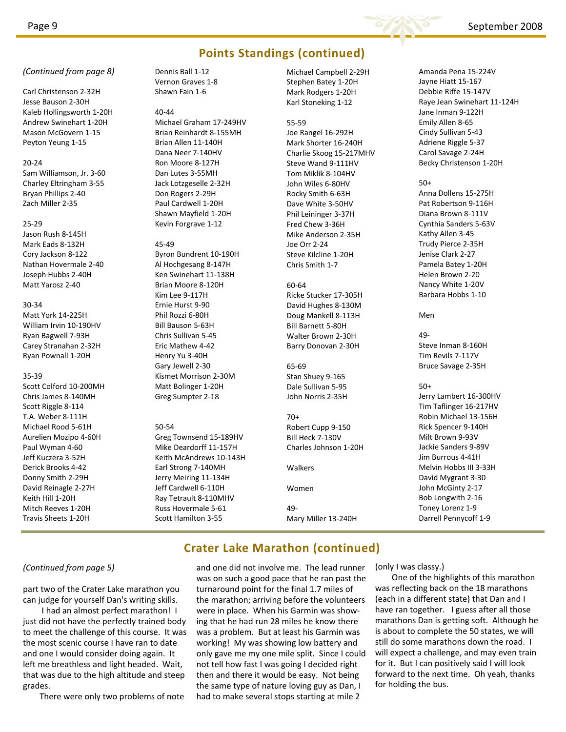

## **Points Standings (continued)**

*(Continued from page 8)* Michael Campbell 2‐29H

Carl Christenson 2‐32H Jesse Bauson 2‐30H Kaleb Hollingsworth 1‐20H Andrew Swinehart 1‐20H Mason McGovern 1‐15 Peyton Yeung 1‐15

#### 20‐24

Sam Williamson, Jr. 3‐60 Charley Eltringham 3‐55 Bryan Phillips 2‐40 Zach Miller 2‐35

#### 25‐29

Jason Rush 8‐145H Mark Eads 8‐132H Cory Jackson 8‐122 Nathan Hovermale 2‐40 Joseph Hubbs 2‐40H Matt Yarosz 2‐40

#### 30‐34

Matt York 14‐225H William Irvin 10‐190HV Ryan Bagwell 7‐93H Carey Stranahan 2‐32H Ryan Pownall 1‐20H

#### 35‐39

Scott Colford 10‐200MH Chris James 8‐140MH Scott Riggle 8‐114 T.A. Weber 8‐111H Michael Rood 5‐61H Aurelien Mozipo 4‐60H Paul Wyman 4‐60 Jeff Kuczera 3‐52H Derick Brooks 4‐42 Donny Smith 2‐29H David Reinagle 2‐27H Keith Hill 1‐20H Mitch Reeves 1‐20H Travis Sheets 1‐20H

Dennis Ball 1‐12 Vernon Graves 1‐8 Shawn Fain 1‐6

40‐44 Michael Graham 17‐249HV Brian Reinhardt 8‐155MH Brian Allen 11‐140H Dana Neer 7‐140HV Ron Moore 8‐127H Dan Lutes 3‐55MH Jack Lotzgeselle 2‐32H Don Rogers 2‐29H Paul Cardwell 1‐20H Shawn Mayfield 1‐20H Kevin Forgrave 1‐12

#### 45‐49

Byron Bundrent 10‐190H Al Hochgesang 8‐147H Ken Swinehart 11‐138H Brian Moore 8‐120H Kim Lee 9‐117H Ernie Hurst 9‐90 Phil Rozzi 6‐80H Bill Bauson 5‐63H Chris Sullivan 5‐45 Eric Mathew 4‐42 Henry Yu 3‐40H Gary Jewell 2‐30 Kismet Morrison 2‐30M Matt Bolinger 1‐20H Greg Sumpter 2‐18

## 50‐54

Greg Townsend 15‐189HV Mike Deardorff 11‐157H Keith McAndrews 10‐143H Earl Strong 7‐140MH Jerry Meiring 11‐134H Jeff Cardwell 6‐110H Ray Tetrault 8‐110MHV Russ Hovermale 5‐61 Scott Hamilton 3‐55

Stephen Batey 1‐20H Mark Rodgers 1‐20H Karl Stoneking 1‐12

#### 55‐59

Joe Rangel 16‐292H Mark Shorter 16‐240H Charlie Skoog 15‐217MHV Steve Wand 9‐111HV Tom Miklik 8‐104HV John Wiles 6‐80HV Rocky Smith 6‐63H Dave White 3‐50HV Phil Leininger 3‐37H Fred Chew 3‐36H Mike Anderson 2‐35H Joe Orr 2‐24 Steve Kilcline 1‐20H Chris Smith 1‐7

#### 60‐64

Ricke Stucker 17‐305H David Hughes 8‐130M Doug Mankell 8‐113H Bill Barnett 5‐80H Walter Brown 2‐30H Barry Donovan 2‐30H

#### 65‐69 Stan Shuey 9‐165 Dale Sullivan 5‐95 John Norris 2‐35H

70+ Robert Cupp 9‐150 Bill Heck 7‐130V Charles Johnson 1‐20H

Walkers

Women 49‐

Mary Miller 13‐240H

Amanda Pena 15‐224V Jayne Hiatt 15‐167 Debbie Riffe 15‐147V Raye Jean Swinehart 11‐124H Jane Inman 9‐122H Emily Allen 8‐65 Cindy Sullivan 5‐43 Adriene Riggle 5‐37 Carol Savage 2‐24H Becky Christenson 1‐20H

#### 50+

Anna Dollens 15‐275H Pat Robertson 9‐116H Diana Brown 8‐111V Cynthia Sanders 5‐63V Kathy Allen 3‐45 Trudy Pierce 2‐35H Jenise Clark 2‐27 Pamela Batey 1‐20H Helen Brown 2‐20 Nancy White 1‐20V Barbara Hobbs 1‐10

#### Men

49‐ Steve Inman 8‐160H Tim Revils 7‐117V Bruce Savage 2‐35H

#### 50+

Jerry Lambert 16‐300HV Tim Taflinger 16‐217HV Robin Michael 13‐156H Rick Spencer 9‐140H Milt Brown 9‐93V Jackie Sanders 9‐89V Jim Burrous 4‐41H Melvin Hobbs III 3‐33H David Mygrant 3‐30 John McGinty 2‐17 Bob Longwith 2‐16 Toney Lorenz 1‐9 Darrell Pennycoff 1‐9

## **Crater Lake Marathon (continued)**

part two of the Crater Lake marathon you can judge for yourself Dan's writing skills.

I had an almost perfect marathon! I just did not have the perfectly trained body to meet the challenge of this course. It was the most scenic course I have ran to date and one I would consider doing again. It left me breathless and light headed. Wait, that was due to the high altitude and steep grades.

There were only two problems of note

(Continued from page 5) and one did not involve me. The lead runner (only I was classy.) was on such a good pace that he ran past the turnaround point for the final 1.7 miles of the marathon; arriving before the volunteers were in place. When his Garmin was show‐ ing that he had run 28 miles he know there was a problem. But at least his Garmin was working! My was showing low battery and only gave me my one mile split. Since I could not tell how fast I was going I decided right then and there it would be easy. Not being the same type of nature loving guy as Dan, I had to make several stops starting at mile 2

One of the highlights of this marathon was reflecting back on the 18 marathons (each in a different state) that Dan and I have ran together. I guess after all those marathons Dan is getting soft. Although he is about to complete the 50 states, we will still do some marathons down the road. I will expect a challenge, and may even train for it. But I can positively said I will look forward to the next time. Oh yeah, thanks for holding the bus.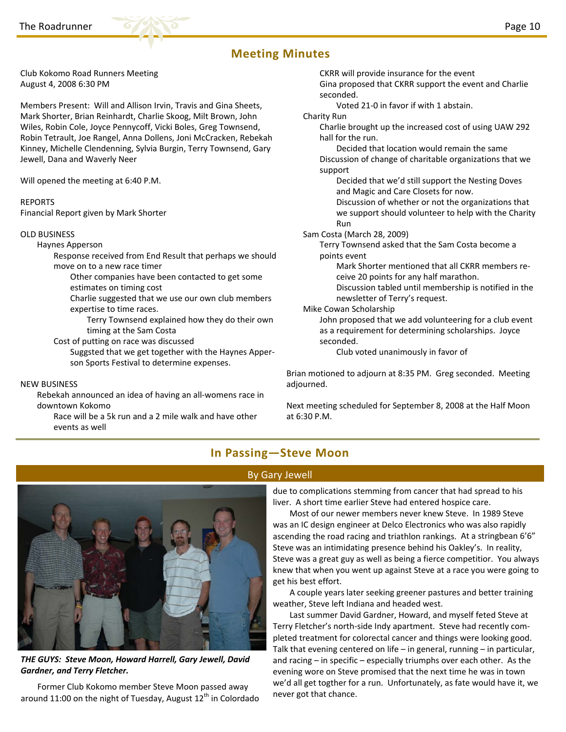

Club Kokomo Road Runners Meeting August 4, 2008 6:30 PM

Members Present: Will and Allison Irvin, Travis and Gina Sheets, Mark Shorter, Brian Reinhardt, Charlie Skoog, Milt Brown, John Wiles, Robin Cole, Joyce Pennycoff, Vicki Boles, Greg Townsend, Robin Tetrault, Joe Rangel, Anna Dollens, Joni McCracken, Rebekah Kinney, Michelle Clendenning, Sylvia Burgin, Terry Townsend, Gary Jewell, Dana and Waverly Neer

Will opened the meeting at 6:40 P.M.

#### REPORTS

Financial Report given by Mark Shorter

#### OLD BUSINESS

Haynes Apperson

Response received from End Result that perhaps we should move on to a new race timer

- Other companies have been contacted to get some estimates on timing cost
- Charlie suggested that we use our own club members expertise to time races.
	- Terry Townsend explained how they do their own timing at the Sam Costa
- Cost of putting on race was discussed
	- Suggsted that we get together with the Haynes Apper‐ son Sports Festival to determine expenses.

#### NEW BUSINESS

Rebekah announced an idea of having an all‐womens race in downtown Kokomo

Race will be a 5k run and a 2 mile walk and have other events as well

CKRR will provide insurance for the event

Gina proposed that CKRR support the event and Charlie seconded.

Voted 21‐0 in favor if with 1 abstain.

Charity Run

Charlie brought up the increased cost of using UAW 292 hall for the run.

Decided that location would remain the same Discussion of change of charitable organizations that we support

Decided that we'd still support the Nesting Doves and Magic and Care Closets for now.

Discussion of whether or not the organizations that we support should volunteer to help with the Charity Run

Sam Costa (March 28, 2009)

Terry Townsend asked that the Sam Costa become a points event

Mark Shorter mentioned that all CKRR members re‐ ceive 20 points for any half marathon.

Discussion tabled until membership is notified in the newsletter of Terry's request.

Mike Cowan Scholarship

John proposed that we add volunteering for a club event as a requirement for determining scholarships. Joyce seconded.

Club voted unanimously in favor of

Brian motioned to adjourn at 8:35 PM. Greg seconded. Meeting adjourned.

Next meeting scheduled for September 8, 2008 at the Half Moon at 6:30 P.M.

## **In Passing—Steve Moon**

## By Gary Jewell



*THE GUYS: Steve Moon, Howard Harrell, Gary Jewell, David Gardner, and Terry Fletcher.* 

Former Club Kokomo member Steve Moon passed away around 11:00 on the night of Tuesday, August  $12<sup>th</sup>$  in Colordado

due to complications stemming from cancer that had spread to his liver. A short time earlier Steve had entered hospice care.

Most of our newer members never knew Steve. In 1989 Steve was an IC design engineer at Delco Electronics who was also rapidly ascending the road racing and triathlon rankings. At a stringbean 6'6" Steve was an intimidating presence behind his Oakley's. In reality, Steve was a great guy as well as being a fierce competitior. You always knew that when you went up against Steve at a race you were going to get his best effort.

A couple years later seeking greener pastures and better training weather, Steve left Indiana and headed west.

Last summer David Gardner, Howard, and myself feted Steve at Terry Fletcher's north‐side Indy apartment. Steve had recently com‐ pleted treatment for colorectal cancer and things were looking good. Talk that evening centered on life – in general, running – in particular, and racing – in specific – especially triumphs over each other. As the evening wore on Steve promised that the next time he was in town we'd all get togther for a run. Unfortunately, as fate would have it, we never got that chance.